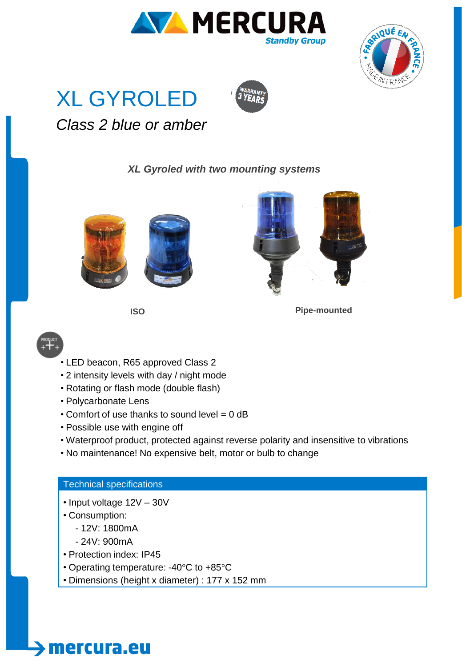







## *Class 2 blue or amber*

### *XL Gyroled with two mounting systems*







**ISO Pipe-mounted**



- LED beacon, R65 approved Class 2
- 2 intensity levels with day / night mode
- Rotating or flash mode (double flash)
- Polycarbonate Lens
- Comfort of use thanks to sound level = 0 dB
- Possible use with engine off
- Waterproof product, protected against reverse polarity and insensitive to vibrations
- No maintenance! No expensive belt, motor or bulb to change

### Technical specifications

- Input voltage 12V 30V
- Consumption:
	- 12V: 1800mA
	- 24V: 900mA

mercura.eu

- Protection index: IP45
- Operating temperature: -40°C to +85°C
- Dimensions (height x diameter) : 177 x 152 mm